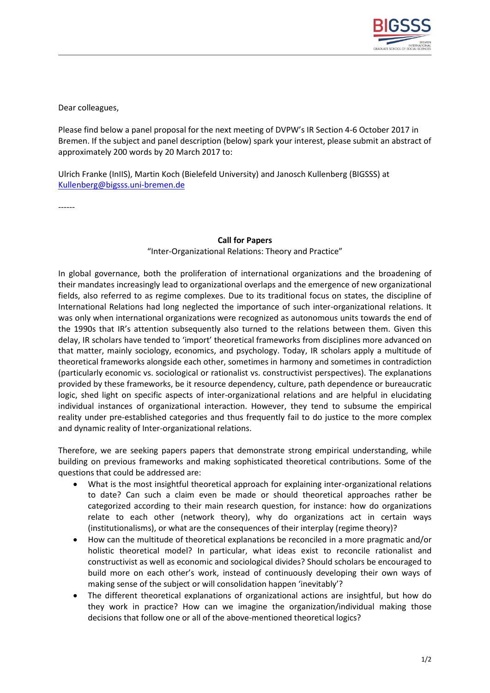

Dear colleagues,

Please find below a panel proposal for the next meeting of DVPW's IR Section 4-6 October 2017 in Bremen. If the subject and panel description (below) spark your interest, please submit an abstract of approximately 200 words by 20 March 2017 to:

Ulrich Franke (InIIS), Martin Koch (Bielefeld University) and Janosch Kullenberg (BIGSSS) at [Kullenberg@bigsss.uni-bremen.de](mailto:Kullenberg@bigsss.uni-bremen.de)

------

## **Call for Papers**

"Inter-Organizational Relations: Theory and Practice"

In global governance, both the proliferation of international organizations and the broadening of their mandates increasingly lead to organizational overlaps and the emergence of new organizational fields, also referred to as regime complexes. Due to its traditional focus on states, the discipline of International Relations had long neglected the importance of such inter-organizational relations. It was only when international organizations were recognized as autonomous units towards the end of the 1990s that IR's attention subsequently also turned to the relations between them. Given this delay, IR scholars have tended to 'import' theoretical frameworks from disciplines more advanced on that matter, mainly sociology, economics, and psychology. Today, IR scholars apply a multitude of theoretical frameworks alongside each other, sometimes in harmony and sometimes in contradiction (particularly economic vs. sociological or rationalist vs. constructivist perspectives). The explanations provided by these frameworks, be it resource dependency, culture, path dependence or bureaucratic logic, shed light on specific aspects of inter-organizational relations and are helpful in elucidating individual instances of organizational interaction. However, they tend to subsume the empirical reality under pre-established categories and thus frequently fail to do justice to the more complex and dynamic reality of Inter-organizational relations.

Therefore, we are seeking papers papers that demonstrate strong empirical understanding, while building on previous frameworks and making sophisticated theoretical contributions. Some of the questions that could be addressed are:

- What is the most insightful theoretical approach for explaining inter-organizational relations to date? Can such a claim even be made or should theoretical approaches rather be categorized according to their main research question, for instance: how do organizations relate to each other (network theory), why do organizations act in certain ways (institutionalisms), or what are the consequences of their interplay (regime theory)?
- How can the multitude of theoretical explanations be reconciled in a more pragmatic and/or holistic theoretical model? In particular, what ideas exist to reconcile rationalist and constructivist as well as economic and sociological divides? Should scholars be encouraged to build more on each other's work, instead of continuously developing their own ways of making sense of the subject or will consolidation happen 'inevitably'?
- The different theoretical explanations of organizational actions are insightful, but how do they work in practice? How can we imagine the organization/individual making those decisions that follow one or all of the above-mentioned theoretical logics?